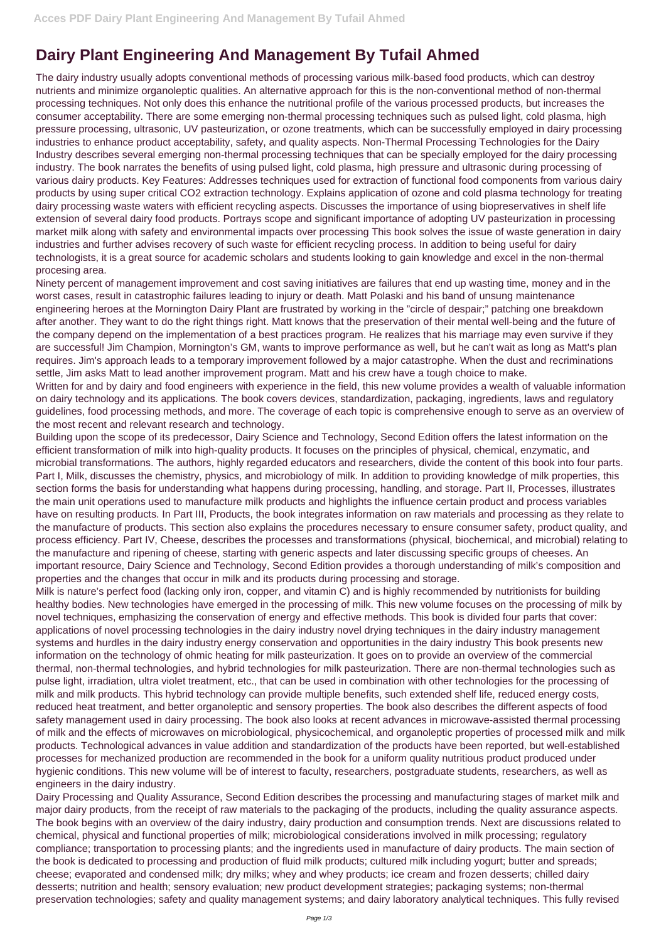## **Dairy Plant Engineering And Management By Tufail Ahmed**

The dairy industry usually adopts conventional methods of processing various milk-based food products, which can destroy nutrients and minimize organoleptic qualities. An alternative approach for this is the non-conventional method of non-thermal processing techniques. Not only does this enhance the nutritional profile of the various processed products, but increases the consumer acceptability. There are some emerging non-thermal processing techniques such as pulsed light, cold plasma, high pressure processing, ultrasonic, UV pasteurization, or ozone treatments, which can be successfully employed in dairy processing industries to enhance product acceptability, safety, and quality aspects. Non-Thermal Processing Technologies for the Dairy Industry describes several emerging non-thermal processing techniques that can be specially employed for the dairy processing industry. The book narrates the benefits of using pulsed light, cold plasma, high pressure and ultrasonic during processing of various dairy products. Key Features: Addresses techniques used for extraction of functional food components from various dairy products by using super critical CO2 extraction technology. Explains application of ozone and cold plasma technology for treating dairy processing waste waters with efficient recycling aspects. Discusses the importance of using biopreservatives in shelf life extension of several dairy food products. Portrays scope and significant importance of adopting UV pasteurization in processing market milk along with safety and environmental impacts over processing This book solves the issue of waste generation in dairy industries and further advises recovery of such waste for efficient recycling process. In addition to being useful for dairy technologists, it is a great source for academic scholars and students looking to gain knowledge and excel in the non-thermal procesing area.

Ninety percent of management improvement and cost saving initiatives are failures that end up wasting time, money and in the worst cases, result in catastrophic failures leading to injury or death. Matt Polaski and his band of unsung maintenance engineering heroes at the Mornington Dairy Plant are frustrated by working in the "circle of despair;" patching one breakdown after another. They want to do the right things right. Matt knows that the preservation of their mental well-being and the future of the company depend on the implementation of a best practices program. He realizes that his marriage may even survive if they are successful! Jim Champion, Mornington's GM, wants to improve performance as well, but he can't wait as long as Matt's plan requires. Jim's approach leads to a temporary improvement followed by a major catastrophe. When the dust and recriminations settle, Jim asks Matt to lead another improvement program. Matt and his crew have a tough choice to make.

Written for and by dairy and food engineers with experience in the field, this new volume provides a wealth of valuable information on dairy technology and its applications. The book covers devices, standardization, packaging, ingredients, laws and regulatory guidelines, food processing methods, and more. The coverage of each topic is comprehensive enough to serve as an overview of the most recent and relevant research and technology.

Building upon the scope of its predecessor, Dairy Science and Technology, Second Edition offers the latest information on the efficient transformation of milk into high-quality products. It focuses on the principles of physical, chemical, enzymatic, and microbial transformations. The authors, highly regarded educators and researchers, divide the content of this book into four parts. Part I, Milk, discusses the chemistry, physics, and microbiology of milk. In addition to providing knowledge of milk properties, this section forms the basis for understanding what happens during processing, handling, and storage. Part II, Processes, illustrates the main unit operations used to manufacture milk products and highlights the influence certain product and process variables have on resulting products. In Part III, Products, the book integrates information on raw materials and processing as they relate to the manufacture of products. This section also explains the procedures necessary to ensure consumer safety, product quality, and process efficiency. Part IV, Cheese, describes the processes and transformations (physical, biochemical, and microbial) relating to the manufacture and ripening of cheese, starting with generic aspects and later discussing specific groups of cheeses. An important resource, Dairy Science and Technology, Second Edition provides a thorough understanding of milk's composition and properties and the changes that occur in milk and its products during processing and storage.

Milk is nature's perfect food (lacking only iron, copper, and vitamin C) and is highly recommended by nutritionists for building healthy bodies. New technologies have emerged in the processing of milk. This new volume focuses on the processing of milk by novel techniques, emphasizing the conservation of energy and effective methods. This book is divided four parts that cover: applications of novel processing technologies in the dairy industry novel drying techniques in the dairy industry management systems and hurdles in the dairy industry energy conservation and opportunities in the dairy industry This book presents new information on the technology of ohmic heating for milk pasteurization. It goes on to provide an overview of the commercial thermal, non-thermal technologies, and hybrid technologies for milk pasteurization. There are non-thermal technologies such as pulse light, irradiation, ultra violet treatment, etc., that can be used in combination with other technologies for the processing of milk and milk products. This hybrid technology can provide multiple benefits, such extended shelf life, reduced energy costs, reduced heat treatment, and better organoleptic and sensory properties. The book also describes the different aspects of food safety management used in dairy processing. The book also looks at recent advances in microwave-assisted thermal processing of milk and the effects of microwaves on microbiological, physicochemical, and organoleptic properties of processed milk and milk products. Technological advances in value addition and standardization of the products have been reported, but well-established processes for mechanized production are recommended in the book for a uniform quality nutritious product produced under hygienic conditions. This new volume will be of interest to faculty, researchers, postgraduate students, researchers, as well as engineers in the dairy industry. Dairy Processing and Quality Assurance, Second Edition describes the processing and manufacturing stages of market milk and major dairy products, from the receipt of raw materials to the packaging of the products, including the quality assurance aspects. The book begins with an overview of the dairy industry, dairy production and consumption trends. Next are discussions related to chemical, physical and functional properties of milk; microbiological considerations involved in milk processing; regulatory compliance; transportation to processing plants; and the ingredients used in manufacture of dairy products. The main section of the book is dedicated to processing and production of fluid milk products; cultured milk including yogurt; butter and spreads; cheese; evaporated and condensed milk; dry milks; whey and whey products; ice cream and frozen desserts; chilled dairy desserts; nutrition and health; sensory evaluation; new product development strategies; packaging systems; non-thermal preservation technologies; safety and quality management systems; and dairy laboratory analytical techniques. This fully revised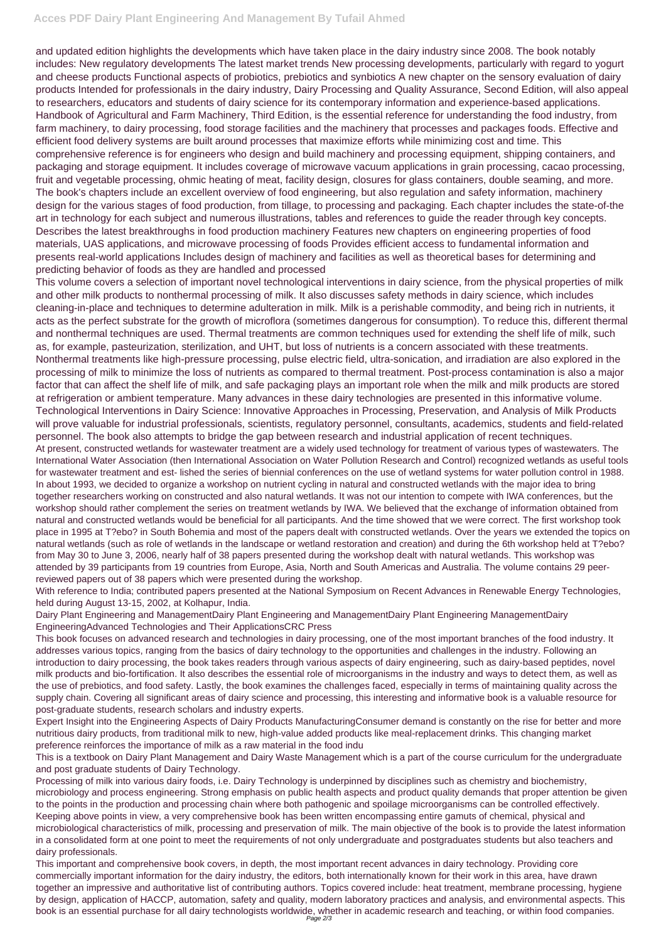## **Acces PDF Dairy Plant Engineering And Management By Tufail Ahmed**

and updated edition highlights the developments which have taken place in the dairy industry since 2008. The book notably includes: New regulatory developments The latest market trends New processing developments, particularly with regard to yogurt and cheese products Functional aspects of probiotics, prebiotics and synbiotics A new chapter on the sensory evaluation of dairy products Intended for professionals in the dairy industry, Dairy Processing and Quality Assurance, Second Edition, will also appeal to researchers, educators and students of dairy science for its contemporary information and experience-based applications. Handbook of Agricultural and Farm Machinery, Third Edition, is the essential reference for understanding the food industry, from farm machinery, to dairy processing, food storage facilities and the machinery that processes and packages foods. Effective and efficient food delivery systems are built around processes that maximize efforts while minimizing cost and time. This comprehensive reference is for engineers who design and build machinery and processing equipment, shipping containers, and packaging and storage equipment. It includes coverage of microwave vacuum applications in grain processing, cacao processing, fruit and vegetable processing, ohmic heating of meat, facility design, closures for glass containers, double seaming, and more. The book's chapters include an excellent overview of food engineering, but also regulation and safety information, machinery design for the various stages of food production, from tillage, to processing and packaging. Each chapter includes the state-of-the art in technology for each subject and numerous illustrations, tables and references to guide the reader through key concepts. Describes the latest breakthroughs in food production machinery Features new chapters on engineering properties of food materials, UAS applications, and microwave processing of foods Provides efficient access to fundamental information and presents real-world applications Includes design of machinery and facilities as well as theoretical bases for determining and predicting behavior of foods as they are handled and processed

This volume covers a selection of important novel technological interventions in dairy science, from the physical properties of milk and other milk products to nonthermal processing of milk. It also discusses safety methods in dairy science, which includes cleaning-in-place and techniques to determine adulteration in milk. Milk is a perishable commodity, and being rich in nutrients, it acts as the perfect substrate for the growth of microflora (sometimes dangerous for consumption). To reduce this, different thermal and nonthermal techniques are used. Thermal treatments are common techniques used for extending the shelf life of milk, such as, for example, pasteurization, sterilization, and UHT, but loss of nutrients is a concern associated with these treatments. Nonthermal treatments like high-pressure processing, pulse electric field, ultra-sonication, and irradiation are also explored in the processing of milk to minimize the loss of nutrients as compared to thermal treatment. Post-process contamination is also a major factor that can affect the shelf life of milk, and safe packaging plays an important role when the milk and milk products are stored at refrigeration or ambient temperature. Many advances in these dairy technologies are presented in this informative volume. Technological Interventions in Dairy Science: Innovative Approaches in Processing, Preservation, and Analysis of Milk Products will prove valuable for industrial professionals, scientists, regulatory personnel, consultants, academics, students and field-related personnel. The book also attempts to bridge the gap between research and industrial application of recent techniques.

At present, constructed wetlands for wastewater treatment are a widely used technology for treatment of various types of wastewaters. The International Water Association (then International Association on Water Pollution Research and Control) recognized wetlands as useful tools for wastewater treatment and est- lished the series of biennial conferences on the use of wetland systems for water pollution control in 1988. In about 1993, we decided to organize a workshop on nutrient cycling in natural and constructed wetlands with the major idea to bring together researchers working on constructed and also natural wetlands. It was not our intention to compete with IWA conferences, but the workshop should rather complement the series on treatment wetlands by IWA. We believed that the exchange of information obtained from natural and constructed wetlands would be beneficial for all participants. And the time showed that we were correct. The first workshop took place in 1995 at T?ebo? in South Bohemia and most of the papers dealt with constructed wetlands. Over the years we extended the topics on natural wetlands (such as role of wetlands in the landscape or wetland restoration and creation) and during the 6th workshop held at T?ebo? from May 30 to June 3, 2006, nearly half of 38 papers presented during the workshop dealt with natural wetlands. This workshop was attended by 39 participants from 19 countries from Europe, Asia, North and South Americas and Australia. The volume contains 29 peerreviewed papers out of 38 papers which were presented during the workshop.

With reference to India; contributed papers presented at the National Symposium on Recent Advances in Renewable Energy Technologies, held during August 13-15, 2002, at Kolhapur, India.

Dairy Plant Engineering and ManagementDairy Plant Engineering and ManagementDairy Plant Engineering ManagementDairy EngineeringAdvanced Technologies and Their ApplicationsCRC Press

This book focuses on advanced research and technologies in dairy processing, one of the most important branches of the food industry. It addresses various topics, ranging from the basics of dairy technology to the opportunities and challenges in the industry. Following an introduction to dairy processing, the book takes readers through various aspects of dairy engineering, such as dairy-based peptides, novel milk products and bio-fortification. It also describes the essential role of microorganisms in the industry and ways to detect them, as well as the use of prebiotics, and food safety. Lastly, the book examines the challenges faced, especially in terms of maintaining quality across the supply chain. Covering all significant areas of dairy science and processing, this interesting and informative book is a valuable resource for post-graduate students, research scholars and industry experts.

Expert Insight into the Engineering Aspects of Dairy Products ManufacturingConsumer demand is constantly on the rise for better and more nutritious dairy products, from traditional milk to new, high-value added products like meal-replacement drinks. This changing market preference reinforces the importance of milk as a raw material in the food indu

This is a textbook on Dairy Plant Management and Dairy Waste Management which is a part of the course curriculum for the undergraduate and post graduate students of Dairy Technology.

Processing of milk into various dairy foods, i.e. Dairy Technology is underpinned by disciplines such as chemistry and biochemistry, microbiology and process engineering. Strong emphasis on public health aspects and product quality demands that proper attention be given to the points in the production and processing chain where both pathogenic and spoilage microorganisms can be controlled effectively. Keeping above points in view, a very comprehensive book has been written encompassing entire gamuts of chemical, physical and microbiological characteristics of milk, processing and preservation of milk. The main objective of the book is to provide the latest information in a consolidated form at one point to meet the requirements of not only undergraduate and postgraduates students but also teachers and dairy professionals.

This important and comprehensive book covers, in depth, the most important recent advances in dairy technology. Providing core commercially important information for the dairy industry, the editors, both internationally known for their work in this area, have drawn together an impressive and authoritative list of contributing authors. Topics covered include: heat treatment, membrane processing, hygiene by design, application of HACCP, automation, safety and quality, modern laboratory practices and analysis, and environmental aspects. This book is an essential purchase for all dairy technologists worldwide, whether in academic research and teaching, or within food companies. Page 2/3